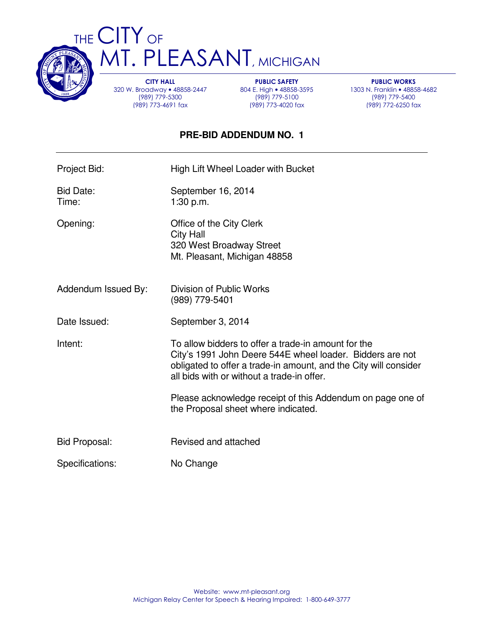

THE CITY OF **MT. PLEASANT, MICHIGAN** 

> CITY HALL 320 W. Broadway • 48858-2447 (989) 779-5300 (989) 773-4691 fax

PUBLIC SAFETY 804 E. High • 48858-3595 (989) 779-5100 (989) 773-4020 fax

PUBLIC WORKS 1303 N. Franklin • 48858-4682 (989) 779-5400 (989) 772-6250 fax

## **PRE-BID ADDENDUM NO. 1**

| Project Bid:         | High Lift Wheel Loader with Bucket                                                                                                                                                                                                 |
|----------------------|------------------------------------------------------------------------------------------------------------------------------------------------------------------------------------------------------------------------------------|
| Bid Date:<br>Time:   | September 16, 2014<br>1:30 p.m.                                                                                                                                                                                                    |
| Opening:             | Office of the City Clerk<br><b>City Hall</b><br>320 West Broadway Street<br>Mt. Pleasant, Michigan 48858                                                                                                                           |
| Addendum Issued By:  | Division of Public Works<br>(989) 779-5401                                                                                                                                                                                         |
| Date Issued:         | September 3, 2014                                                                                                                                                                                                                  |
| Intent:              | To allow bidders to offer a trade-in amount for the<br>City's 1991 John Deere 544E wheel loader. Bidders are not<br>obligated to offer a trade-in amount, and the City will consider<br>all bids with or without a trade-in offer. |
|                      | Please acknowledge receipt of this Addendum on page one of<br>the Proposal sheet where indicated.                                                                                                                                  |
| <b>Bid Proposal:</b> | Revised and attached                                                                                                                                                                                                               |
| Specifications:      | No Change                                                                                                                                                                                                                          |